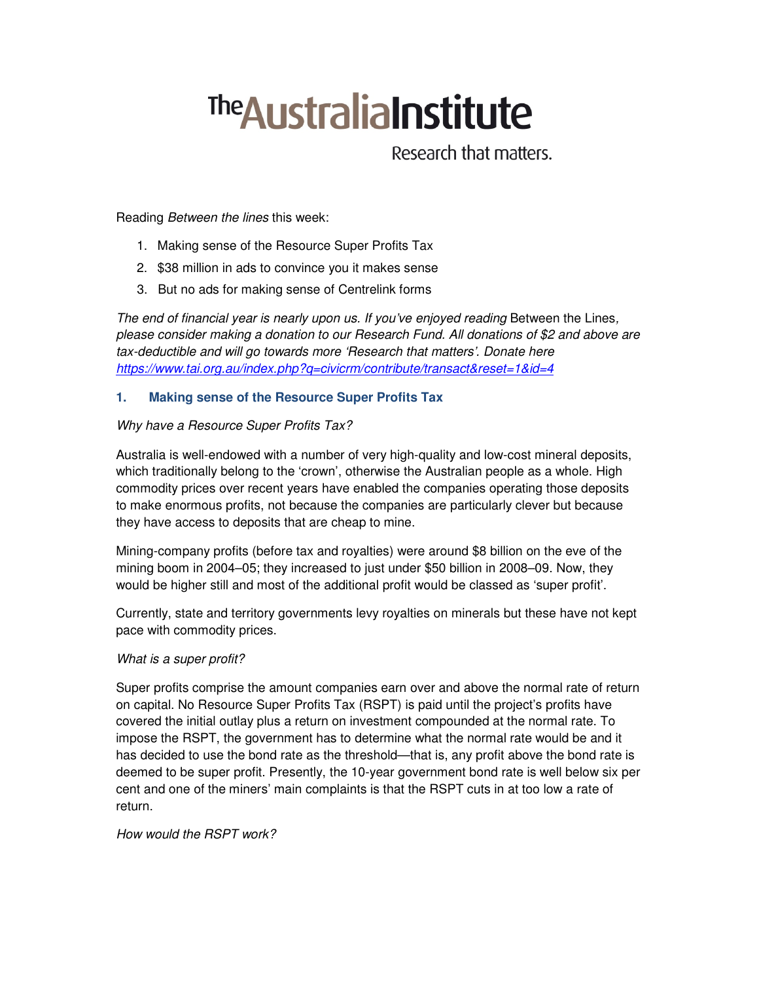# **The Australia Institute**

Research that matters.

Reading Between the lines this week:

- 1. Making sense of the Resource Super Profits Tax
- 2. \$38 million in ads to convince you it makes sense
- 3. But no ads for making sense of Centrelink forms

The end of financial year is nearly upon us. If you've enjoyed reading Between the Lines, please consider making a donation to our Research Fund. All donations of \$2 and above are tax-deductible and will go towards more 'Research that matters'. Donate here https://www.tai.org.au/index.php?q=civicrm/contribute/transact&reset=1&id=4

# **1. Making sense of the Resource Super Profits Tax**

## Why have a Resource Super Profits Tax?

Australia is well-endowed with a number of very high-quality and low-cost mineral deposits, which traditionally belong to the 'crown', otherwise the Australian people as a whole. High commodity prices over recent years have enabled the companies operating those deposits to make enormous profits, not because the companies are particularly clever but because they have access to deposits that are cheap to mine.

Mining-company profits (before tax and royalties) were around \$8 billion on the eve of the mining boom in 2004–05; they increased to just under \$50 billion in 2008–09. Now, they would be higher still and most of the additional profit would be classed as 'super profit'.

Currently, state and territory governments levy royalties on minerals but these have not kept pace with commodity prices.

#### What is a super profit?

Super profits comprise the amount companies earn over and above the normal rate of return on capital. No Resource Super Profits Tax (RSPT) is paid until the project's profits have covered the initial outlay plus a return on investment compounded at the normal rate. To impose the RSPT, the government has to determine what the normal rate would be and it has decided to use the bond rate as the threshold—that is, any profit above the bond rate is deemed to be super profit. Presently, the 10-year government bond rate is well below six per cent and one of the miners' main complaints is that the RSPT cuts in at too low a rate of return.

How would the RSPT work?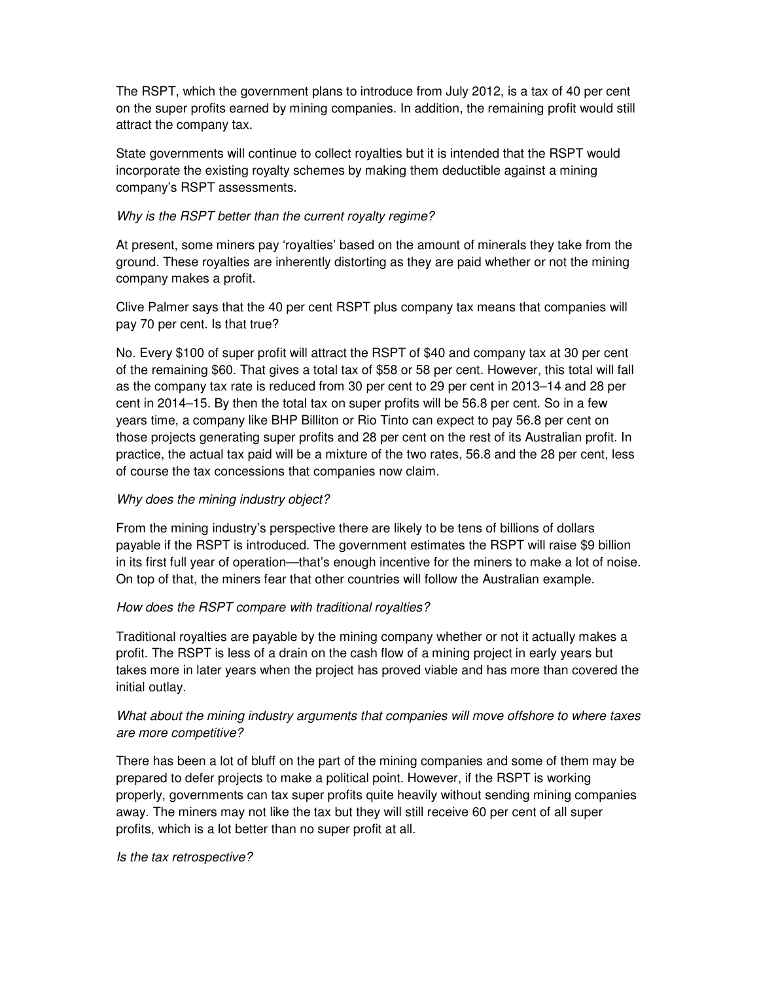The RSPT, which the government plans to introduce from July 2012, is a tax of 40 per cent on the super profits earned by mining companies. In addition, the remaining profit would still attract the company tax.

State governments will continue to collect royalties but it is intended that the RSPT would incorporate the existing royalty schemes by making them deductible against a mining company's RSPT assessments.

### Why is the RSPT better than the current royalty regime?

At present, some miners pay 'royalties' based on the amount of minerals they take from the ground. These royalties are inherently distorting as they are paid whether or not the mining company makes a profit.

Clive Palmer says that the 40 per cent RSPT plus company tax means that companies will pay 70 per cent. Is that true?

No. Every \$100 of super profit will attract the RSPT of \$40 and company tax at 30 per cent of the remaining \$60. That gives a total tax of \$58 or 58 per cent. However, this total will fall as the company tax rate is reduced from 30 per cent to 29 per cent in 2013–14 and 28 per cent in 2014–15. By then the total tax on super profits will be 56.8 per cent. So in a few years time, a company like BHP Billiton or Rio Tinto can expect to pay 56.8 per cent on those projects generating super profits and 28 per cent on the rest of its Australian profit. In practice, the actual tax paid will be a mixture of the two rates, 56.8 and the 28 per cent, less of course the tax concessions that companies now claim.

#### Why does the mining industry object?

From the mining industry's perspective there are likely to be tens of billions of dollars payable if the RSPT is introduced. The government estimates the RSPT will raise \$9 billion in its first full year of operation—that's enough incentive for the miners to make a lot of noise. On top of that, the miners fear that other countries will follow the Australian example.

#### How does the RSPT compare with traditional royalties?

Traditional royalties are payable by the mining company whether or not it actually makes a profit. The RSPT is less of a drain on the cash flow of a mining project in early years but takes more in later years when the project has proved viable and has more than covered the initial outlay.

# What about the mining industry arguments that companies will move offshore to where taxes are more competitive?

There has been a lot of bluff on the part of the mining companies and some of them may be prepared to defer projects to make a political point. However, if the RSPT is working properly, governments can tax super profits quite heavily without sending mining companies away. The miners may not like the tax but they will still receive 60 per cent of all super profits, which is a lot better than no super profit at all.

Is the tax retrospective?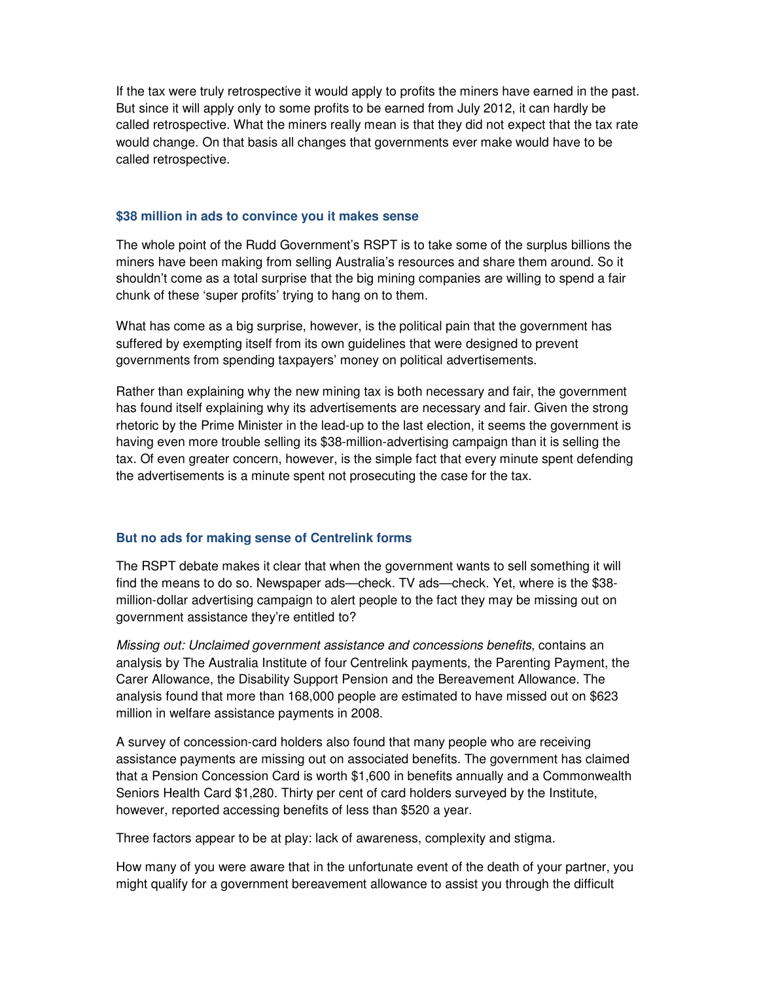If the tax were truly retrospective it would apply to profits the miners have earned in the past. But since it will apply only to some profits to be earned from July 2012, it can hardly be called retrospective. What the miners really mean is that they did not expect that the tax rate would change. On that basis all changes that governments ever make would have to be called retrospective.

#### **\$38 million in ads to convince you it makes sense**

The whole point of the Rudd Government's RSPT is to take some of the surplus billions the miners have been making from selling Australia's resources and share them around. So it shouldn't come as a total surprise that the big mining companies are willing to spend a fair chunk of these 'super profits' trying to hang on to them.

What has come as a big surprise, however, is the political pain that the government has suffered by exempting itself from its own guidelines that were designed to prevent governments from spending taxpayers' money on political advertisements.

Rather than explaining why the new mining tax is both necessary and fair, the government has found itself explaining why its advertisements are necessary and fair. Given the strong rhetoric by the Prime Minister in the lead-up to the last election, it seems the government is having even more trouble selling its \$38-million-advertising campaign than it is selling the tax. Of even greater concern, however, is the simple fact that every minute spent defending the advertisements is a minute spent not prosecuting the case for the tax.

#### **But no ads for making sense of Centrelink forms**

The RSPT debate makes it clear that when the government wants to sell something it will find the means to do so. Newspaper ads—check. TV ads—check. Yet, where is the \$38 million-dollar advertising campaign to alert people to the fact they may be missing out on government assistance they're entitled to?

Missing out: Unclaimed government assistance and concessions benefits, contains an analysis by The Australia Institute of four Centrelink payments, the Parenting Payment, the Carer Allowance, the Disability Support Pension and the Bereavement Allowance. The analysis found that more than 168,000 people are estimated to have missed out on \$623 million in welfare assistance payments in 2008.

A survey of concession-card holders also found that many people who are receiving assistance payments are missing out on associated benefits. The government has claimed that a Pension Concession Card is worth \$1,600 in benefits annually and a Commonwealth Seniors Health Card \$1,280. Thirty per cent of card holders surveyed by the Institute, however, reported accessing benefits of less than \$520 a year.

Three factors appear to be at play: lack of awareness, complexity and stigma.

How many of you were aware that in the unfortunate event of the death of your partner, you might qualify for a government bereavement allowance to assist you through the difficult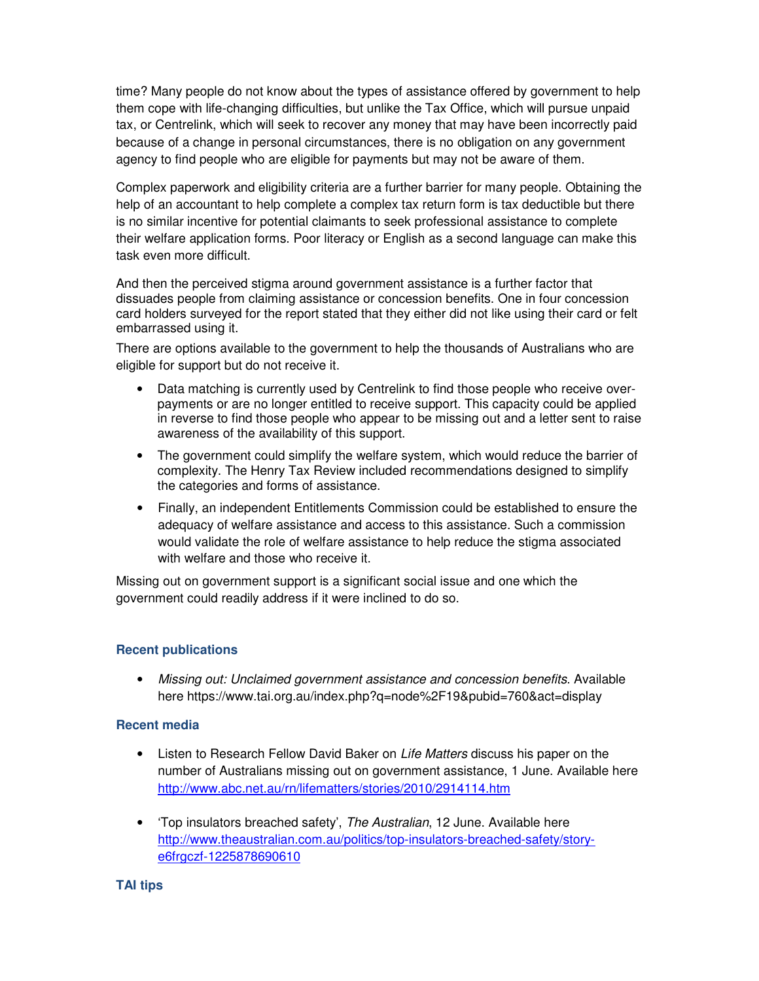time? Many people do not know about the types of assistance offered by government to help them cope with life-changing difficulties, but unlike the Tax Office, which will pursue unpaid tax, or Centrelink, which will seek to recover any money that may have been incorrectly paid because of a change in personal circumstances, there is no obligation on any government agency to find people who are eligible for payments but may not be aware of them.

Complex paperwork and eligibility criteria are a further barrier for many people. Obtaining the help of an accountant to help complete a complex tax return form is tax deductible but there is no similar incentive for potential claimants to seek professional assistance to complete their welfare application forms. Poor literacy or English as a second language can make this task even more difficult.

And then the perceived stigma around government assistance is a further factor that dissuades people from claiming assistance or concession benefits. One in four concession card holders surveyed for the report stated that they either did not like using their card or felt embarrassed using it.

There are options available to the government to help the thousands of Australians who are eligible for support but do not receive it.

- Data matching is currently used by Centrelink to find those people who receive overpayments or are no longer entitled to receive support. This capacity could be applied in reverse to find those people who appear to be missing out and a letter sent to raise awareness of the availability of this support.
- The government could simplify the welfare system, which would reduce the barrier of complexity. The Henry Tax Review included recommendations designed to simplify the categories and forms of assistance.
- Finally, an independent Entitlements Commission could be established to ensure the adequacy of welfare assistance and access to this assistance. Such a commission would validate the role of welfare assistance to help reduce the stigma associated with welfare and those who receive it.

Missing out on government support is a significant social issue and one which the government could readily address if it were inclined to do so.

#### **Recent publications**

• Missing out: Unclaimed government assistance and concession benefits. Available here https://www.tai.org.au/index.php?q=node%2F19&pubid=760&act=display

#### **Recent media**

- Listen to Research Fellow David Baker on Life Matters discuss his paper on the number of Australians missing out on government assistance, 1 June. Available here http://www.abc.net.au/rn/lifematters/stories/2010/2914114.htm
- Top insulators breached safety', The Australian, 12 June. Available here http://www.theaustralian.com.au/politics/top-insulators-breached-safety/storye6frgczf-1225878690610